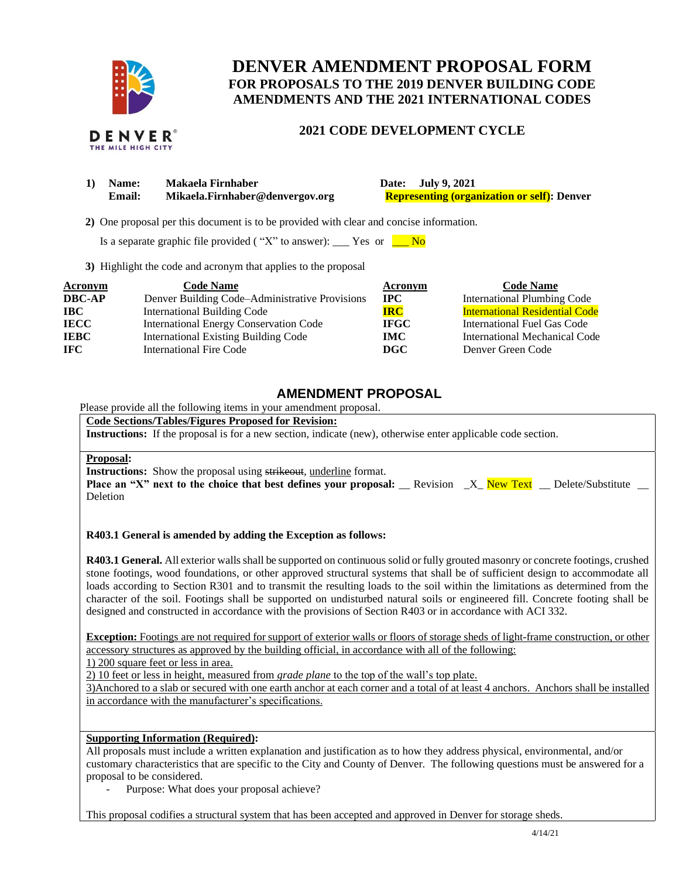

THE MILE HIGH CITY

# **DENVER AMENDMENT PROPOSAL FORM FOR PROPOSALS TO THE 2019 DENVER BUILDING CODE AMENDMENTS AND THE 2021 INTERNATIONAL CODES**

### **2021 CODE DEVELOPMENT CYCLE**

| Makaela Firnhaber<br>Date: July 9, 2021<br>Name:<br>Mikaela.Firnhaber@denvergov.org<br><b>Representing (organization or self):</b> Denver<br><b>Email:</b> |  |
|------------------------------------------------------------------------------------------------------------------------------------------------------------|--|
|------------------------------------------------------------------------------------------------------------------------------------------------------------|--|

 **2)** One proposal per this document is to be provided with clear and concise information.

Is a separate graphic file provided ( "X" to answer): \_\_\_ Yes or  $\blacksquare$  No

**3)** Highlight the code and acronym that applies to the proposal

| Acronym       | <b>Code Name</b>                               | Acronym      | <b>Code Name</b>                      |
|---------------|------------------------------------------------|--------------|---------------------------------------|
| <b>DBC-AP</b> | Denver Building Code-Administrative Provisions | $_{\rm IPC}$ | <b>International Plumbing Code</b>    |
| <b>IBC</b>    | <b>International Building Code</b>             | <b>IRC</b>   | <b>International Residential Code</b> |
| <b>IECC</b>   | <b>International Energy Conservation Code</b>  | <b>IFGC</b>  | International Fuel Gas Code           |
| <b>IEBC</b>   | <b>International Existing Building Code</b>    | <b>IMC</b>   | International Mechanical Code         |
| <b>IFC</b>    | International Fire Code                        | DGC          | Denver Green Code                     |

## **AMENDMENT PROPOSAL**

Please provide all the following items in your amendment proposal.

**Code Sections/Tables/Figures Proposed for Revision:**

**Instructions:** If the proposal is for a new section, indicate (new), otherwise enter applicable code section.

#### **Proposal:**

**Instructions:** Show the proposal using strikeout, underline format.

|          |  |  |  | <b>Place an "X" next to the choice that best defines your proposal:</b> Revision X New Text Delete/Substitute |  |
|----------|--|--|--|---------------------------------------------------------------------------------------------------------------|--|
| Deletion |  |  |  |                                                                                                               |  |

#### **R403.1 General is amended by adding the Exception as follows:**

**R403.1 General.** All exterior walls shall be supported on continuous solid or fully grouted masonry or concrete footings, crushed stone footings, wood foundations, or other approved structural systems that shall be of sufficient design to accommodate all loads according to Section R301 and to transmit the resulting loads to the soil within the limitations as determined from the character of the soil. Footings shall be supported on undisturbed natural soils or engineered fill. Concrete footing shall be designed and constructed in accordance with the provisions of Section R403 or in accordance with ACI 332.

**Exception:** Footings are not required for support of exterior walls or floors of storage sheds of light-frame construction, or other accessory structures as approved by the building official, in accordance with all of the following:

1) 200 square feet or less in area.

2) 10 feet or less in height, measured from *grade plane* to the top of the wall's top plate.

3)Anchored to a slab or secured with one earth anchor at each corner and a total of at least 4 anchors. Anchors shall be installed in accordance with the manufacturer's specifications.

### **Supporting Information (Required):**

All proposals must include a written explanation and justification as to how they address physical, environmental, and/or customary characteristics that are specific to the City and County of Denver. The following questions must be answered for a proposal to be considered.

Purpose: What does your proposal achieve?

This proposal codifies a structural system that has been accepted and approved in Denver for storage sheds.